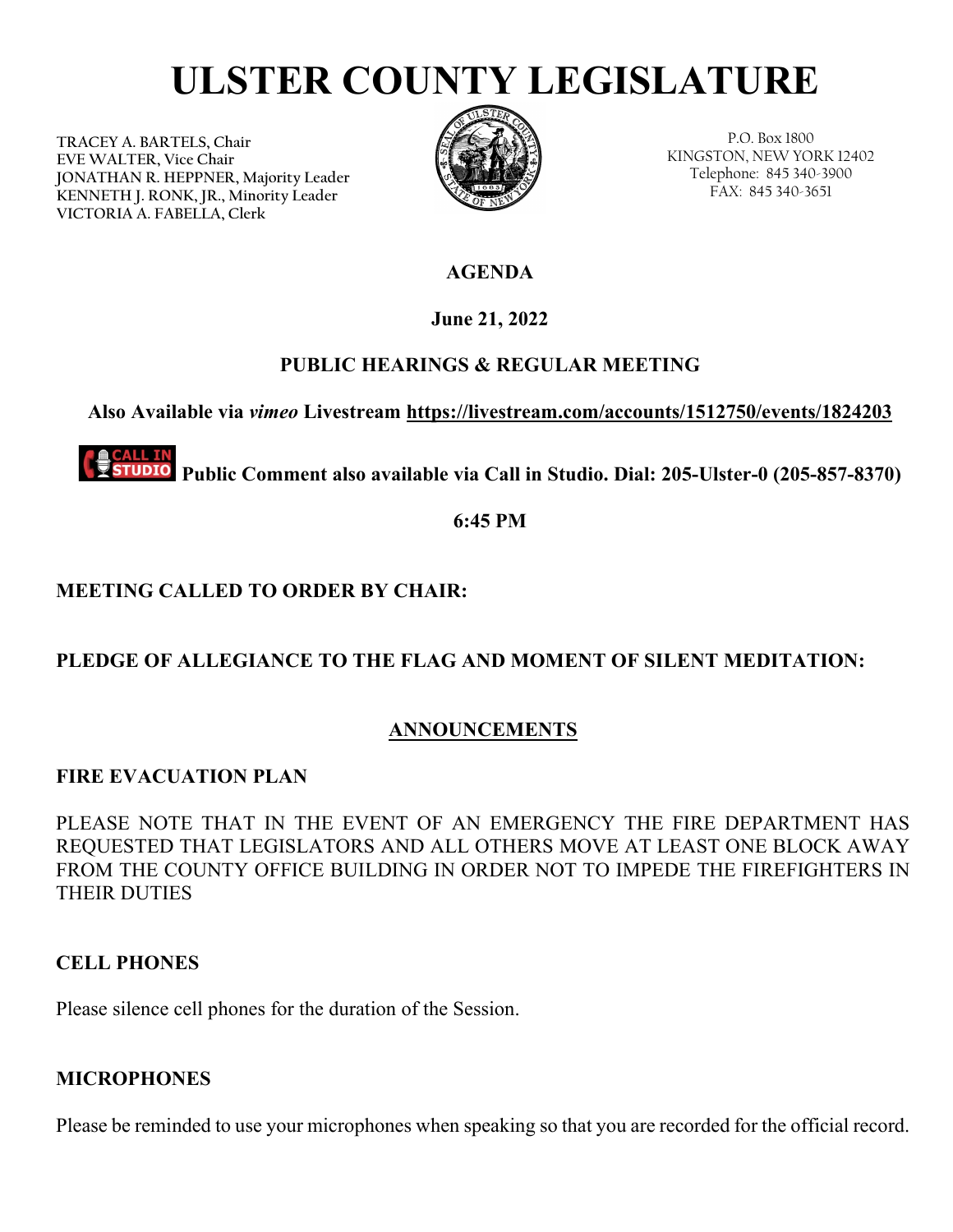# **ULSTER COUNTY LEGISLATURE**

**TRACEY A. BARTELS, Chair EVE WALTER, Vice Chair JONATHAN R. HEPPNER, Majority Leader KENNETH J. RONK, JR., Minority Leader VICTORIA A. FABELLA, Clerk**



P.O. Box 1800 KINGSTON, NEW YORK 12402 Telephone: 845 340-3900 FAX: 845 340-3651

**AGENDA** 

**June 21, 2022**

# **PUBLIC HEARINGS & REGULAR MEETING**

**Also Available via** *vimeo* **Livestream<https://livestream.com/accounts/1512750/events/1824203>**

**TUDIO Public Comment also available via Call in Studio. Dial: 205-Ulster-0 (205-857-8370)** 

**6:45 PM** 

# **MEETING CALLED TO ORDER BY CHAIR:**

# **PLEDGE OF ALLEGIANCE TO THE FLAG AND MOMENT OF SILENT MEDITATION:**

# **ANNOUNCEMENTS**

# **FIRE EVACUATION PLAN**

PLEASE NOTE THAT IN THE EVENT OF AN EMERGENCY THE FIRE DEPARTMENT HAS REQUESTED THAT LEGISLATORS AND ALL OTHERS MOVE AT LEAST ONE BLOCK AWAY FROM THE COUNTY OFFICE BUILDING IN ORDER NOT TO IMPEDE THE FIREFIGHTERS IN THEIR DUTIES

# **CELL PHONES**

Please silence cell phones for the duration of the Session.

# **MICROPHONES**

Please be reminded to use your microphones when speaking so that you are recorded for the official record.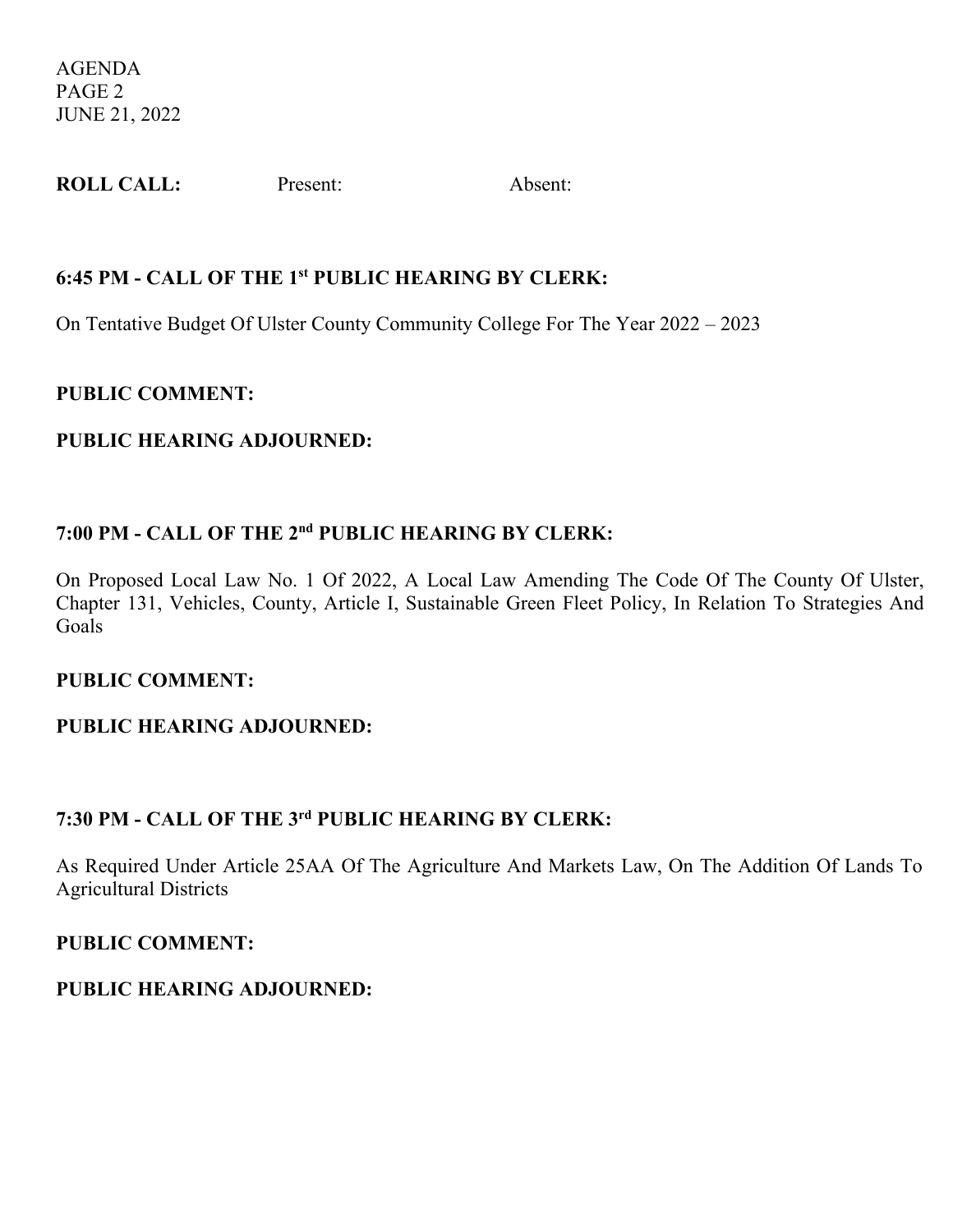AGENDA PAGE 2 JUNE 21, 2022

| <b>ROLL CALL:</b> | Present: | Absent: |
|-------------------|----------|---------|
|-------------------|----------|---------|

#### **6:45 PM - CALL OF THE 1st PUBLIC HEARING BY CLERK:**

On Tentative Budget Of Ulster County Community College For The Year 2022 – 2023

#### **PUBLIC COMMENT:**

## **PUBLIC HEARING ADJOURNED:**

# **7:00 PM - CALL OF THE 2nd PUBLIC HEARING BY CLERK:**

On Proposed Local Law No. 1 Of 2022, A Local Law Amending The Code Of The County Of Ulster, Chapter 131, Vehicles, County, Article I, Sustainable Green Fleet Policy, In Relation To Strategies And Goals

#### **PUBLIC COMMENT:**

# **PUBLIC HEARING ADJOURNED:**

# **7:30 PM - CALL OF THE 3rd PUBLIC HEARING BY CLERK:**

As Required Under Article 25AA Of The Agriculture And Markets Law, On The Addition Of Lands To Agricultural Districts

#### **PUBLIC COMMENT:**

# **PUBLIC HEARING ADJOURNED:**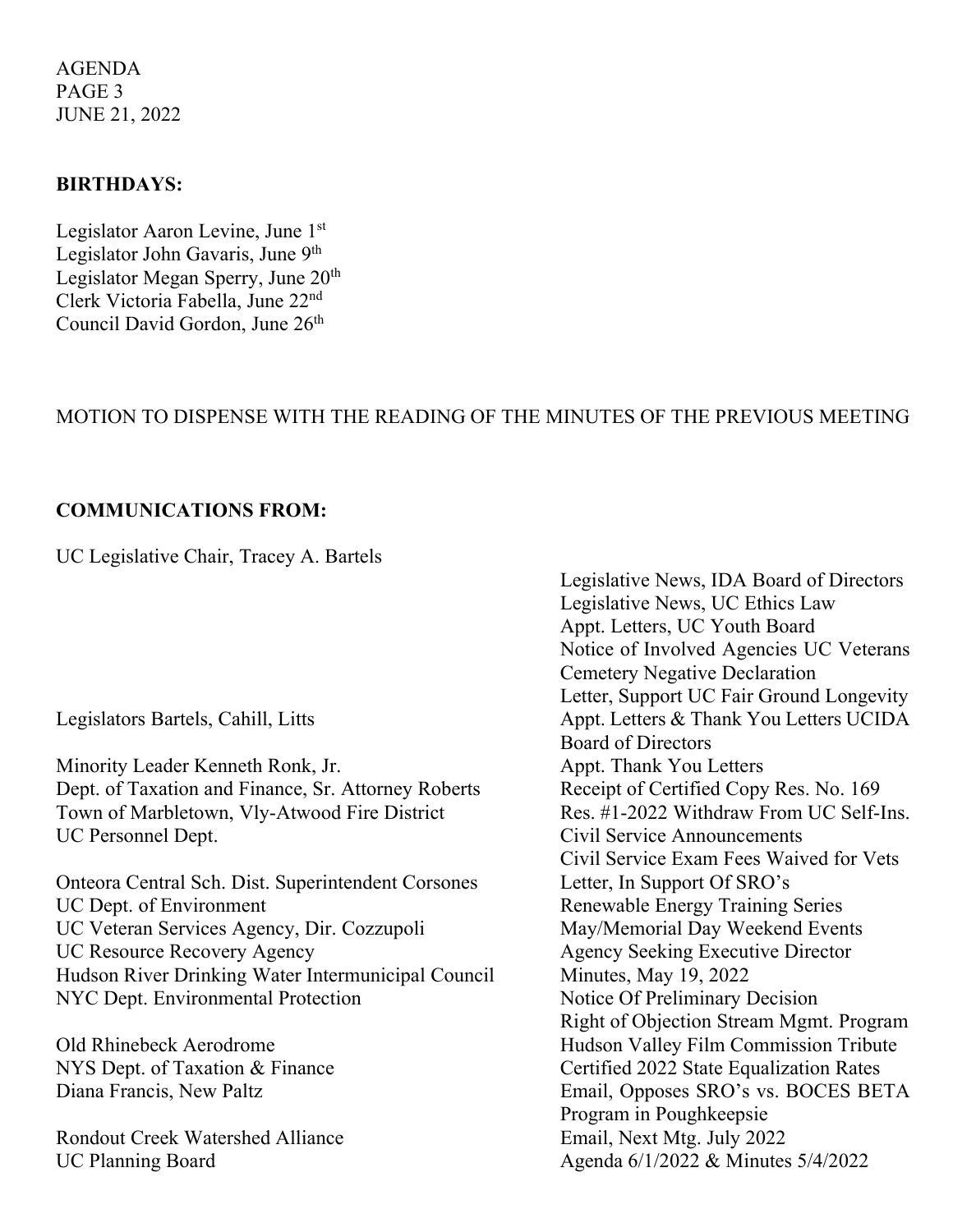AGENDA PAGE 3 JUNE 21, 2022

#### **BIRTHDAYS:**

Legislator Aaron Levine, June 1st Legislator John Gavaris, June 9th Legislator Megan Sperry, June 20<sup>th</sup> Clerk Victoria Fabella, June 22nd Council David Gordon, June 26<sup>th</sup>

#### MOTION TO DISPENSE WITH THE READING OF THE MINUTES OF THE PREVIOUS MEETING

#### **COMMUNICATIONS FROM:**

UC Legislative Chair, Tracey A. Bartels

Minority Leader Kenneth Ronk, Jr. **Appt. Thank You Letters** Dept. of Taxation and Finance, Sr. Attorney Roberts Receipt of Certified Copy Res. No. 169 Town of Marbletown, Vly-Atwood Fire District Res. #1-2022 Withdraw From UC Self-Ins. UC Personnel Dept. Civil Service Announcements

Onteora Central Sch. Dist. Superintendent Corsones Letter, In Support Of SRO's UC Veteran Services Agency, Dir. Cozzupoli May/Memorial Day Weekend Events UC Resource Recovery Agency Agency Seeking Executive Director Hudson River Drinking Water Intermunicipal Council Minutes, May 19, 2022 NYC Dept. Environmental Protection Notice Of Preliminary Decision

Rondout Creek Watershed Alliance<br>
Email, Next Mtg. July 2022 UC Planning Board Agenda 6/1/2022 & Minutes 5/4/2022

Legislative News, IDA Board of Directors Legislative News, UC Ethics Law Appt. Letters, UC Youth Board Notice of Involved Agencies UC Veterans Cemetery Negative Declaration Letter, Support UC Fair Ground Longevity Legislators Bartels, Cahill, Litts Appt. Letters & Thank You Letters UCIDA Board of Directors Civil Service Exam Fees Waived for Vets Renewable Energy Training Series Right of Objection Stream Mgmt. Program Old Rhinebeck Aerodrome Hudson Valley Film Commission Tribute NYS Dept. of Taxation & Finance Certified 2022 State Equalization Rates Diana Francis, New Paltz Email, Opposes SRO's vs. BOCES BETA Program in Poughkeepsie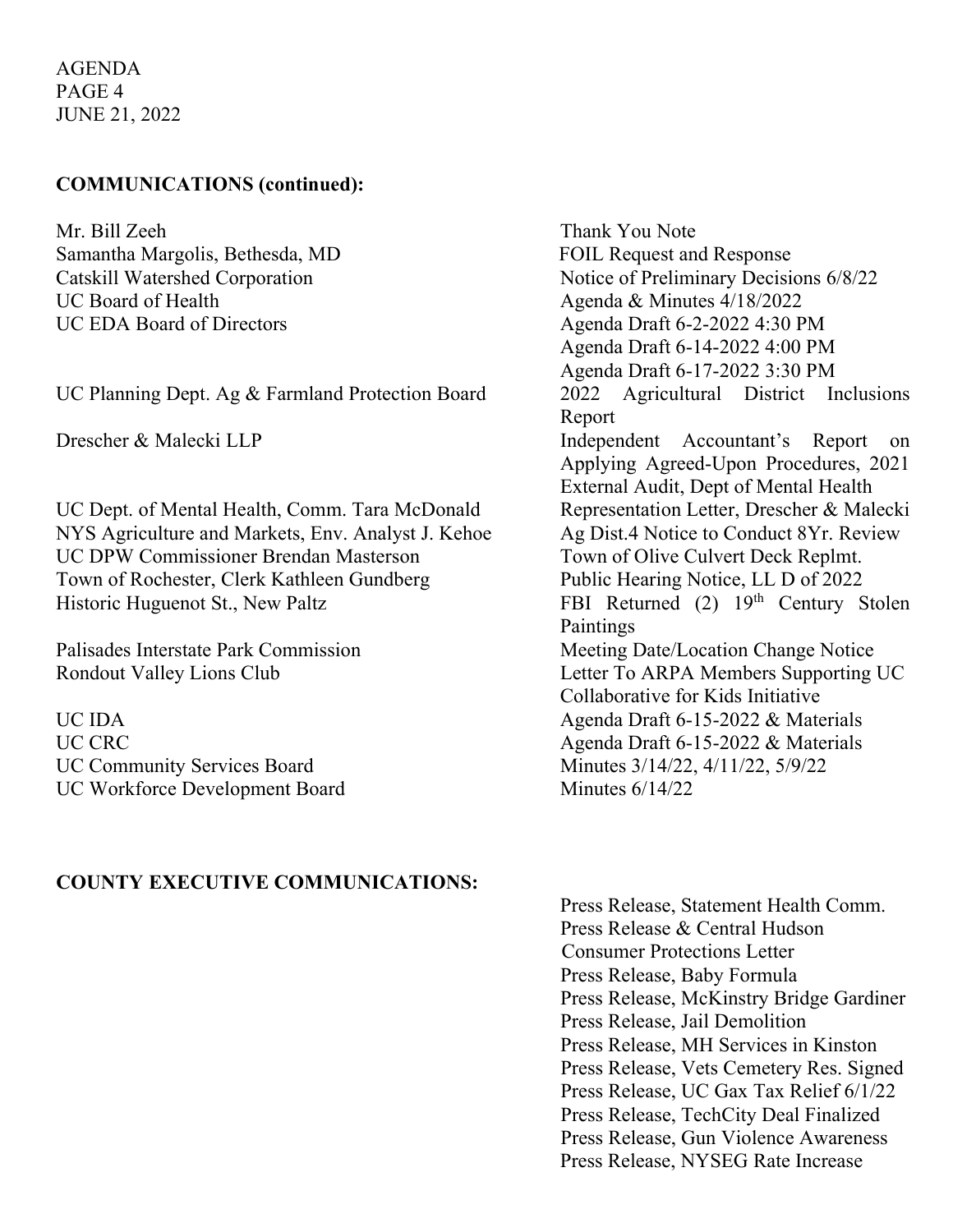AGENDA PAGE 4 JUNE 21, 2022

#### **COMMUNICATIONS (continued):**

Mr. Bill Zeeh Thank You Note Samantha Margolis, Bethesda, MD FOIL Request and Response UC Board of Health Agenda & Minutes 4/18/2022 UC EDA Board of Directors Agenda Draft 6-2-2022 4:30 PM

UC Planning Dept. Ag  $&$  Farmland Protection Board 2022

UC Dept. of Mental Health, Comm. Tara McDonald Representation Letter, Drescher & Malecki NYS Agriculture and Markets, Env. Analyst J. Kehoe Ag Dist.4 Notice to Conduct 8Yr. Review UC DPW Commissioner Brendan Masterson Town of Olive Culvert Deck Replmt. Town of Rochester, Clerk Kathleen Gundberg Public Hearing Notice, LL D of 2022 Historic Huguenot St., New Paltz FBI Returned (2) 19th Century Stolen

UC Community Services Board Minutes 3/14/22, 4/11/22, 5/9/22 UC Workforce Development Board Minutes 6/14/22

## **COUNTY EXECUTIVE COMMUNICATIONS:**

Catskill Watershed Corporation Notice of Preliminary Decisions 6/8/22 Agenda Draft 6-14-2022 4:00 PM Agenda Draft 6-17-2022 3:30 PM<br>2022 Agricultural District Inclusions Report Drescher & Malecki LLP Independent Accountant's Report on Applying Agreed-Upon Procedures, 2021 External Audit, Dept of Mental Health Paintings Palisades Interstate Park Commission Meeting Date/Location Change Notice Rondout Valley Lions Club Letter To ARPA Members Supporting UC Collaborative for Kids Initiative UC IDA Agenda Draft 6-15-2022 & Materials UC CRC Agenda Draft 6-15-2022 & Materials

> Press Release, Statement Health Comm. Press Release & Central Hudson Consumer Protections Letter Press Release, Baby Formula Press Release, McKinstry Bridge Gardiner Press Release, Jail Demolition Press Release, MH Services in Kinston Press Release, Vets Cemetery Res. Signed Press Release, UC Gax Tax Relief 6/1/22 Press Release, TechCity Deal Finalized Press Release, Gun Violence Awareness Press Release, NYSEG Rate Increase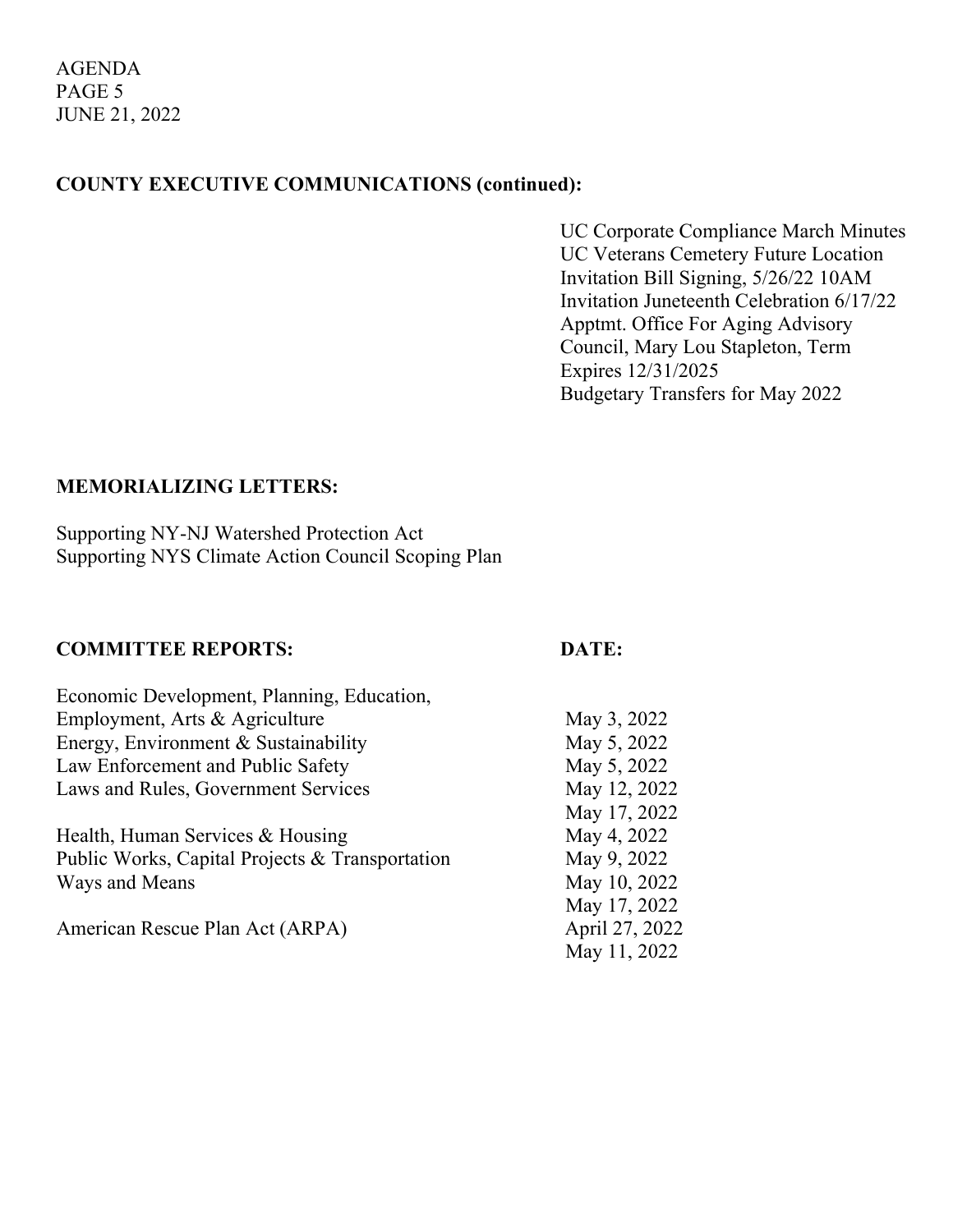# **COUNTY EXECUTIVE COMMUNICATIONS (continued):**

UC Corporate Compliance March Minutes UC Veterans Cemetery Future Location Invitation Bill Signing, 5/26/22 10AM Invitation Juneteenth Celebration 6/17/22 Apptmt. Office For Aging Advisory Council, Mary Lou Stapleton, Term Expires 12/31/2025 Budgetary Transfers for May 2022

## **MEMORIALIZING LETTERS:**

Supporting NY-NJ Watershed Protection Act Supporting NYS Climate Action Council Scoping Plan

## **COMMITTEE REPORTS: DATE:**

| Economic Development, Planning, Education,      |                |
|-------------------------------------------------|----------------|
| Employment, Arts & Agriculture                  | May 3, 2022    |
| Energy, Environment & Sustainability            | May 5, 2022    |
| Law Enforcement and Public Safety               | May 5, 2022    |
| Laws and Rules, Government Services             | May 12, 2022   |
|                                                 | May 17, 2022   |
| Health, Human Services & Housing                | May 4, 2022    |
| Public Works, Capital Projects & Transportation | May 9, 2022    |
| Ways and Means                                  | May 10, 2022   |
|                                                 | May 17, 2022   |
| American Rescue Plan Act (ARPA)                 | April 27, 2022 |
|                                                 | May 11, 2022   |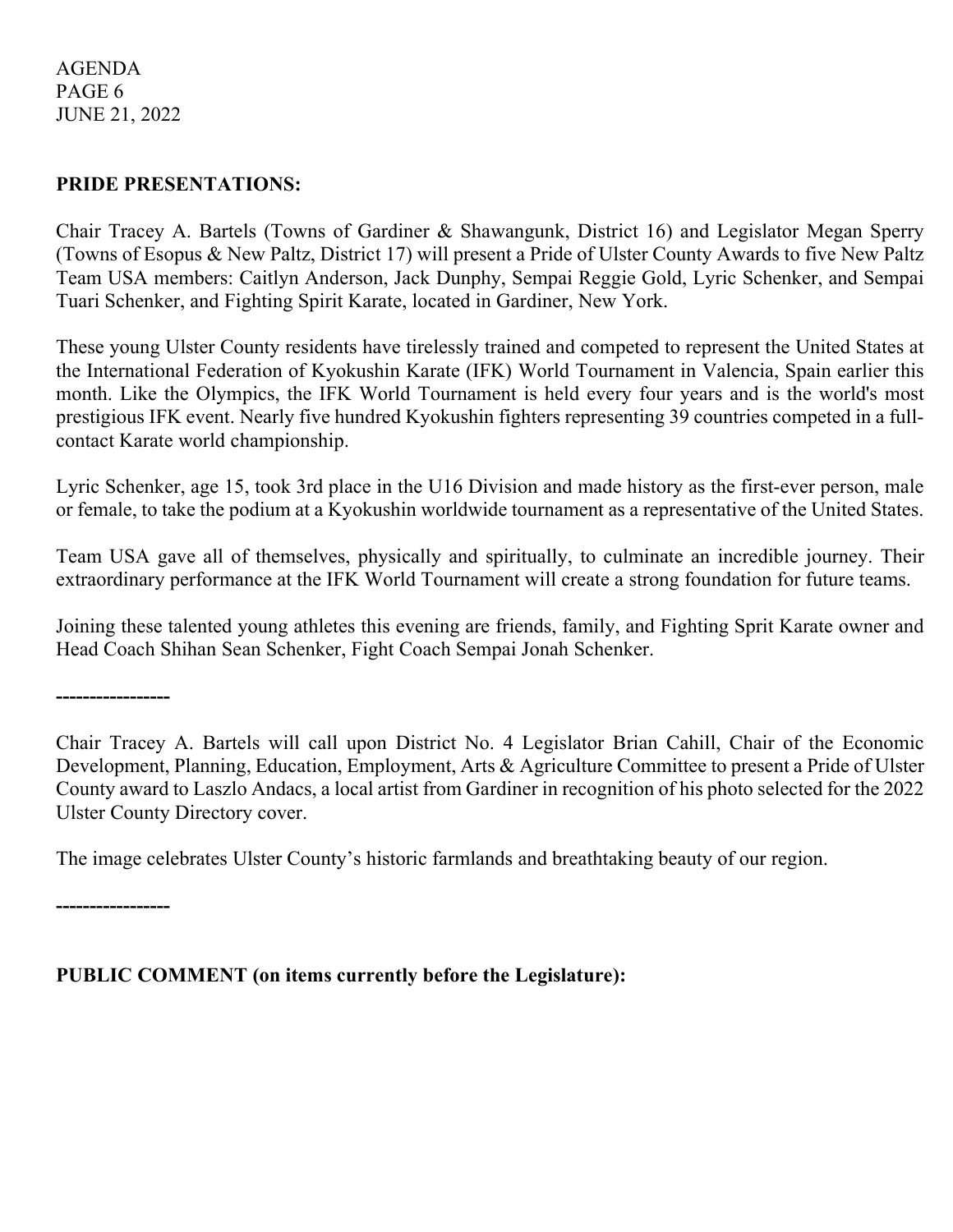## AGENDA PAGE 6 JUNE 21, 2022

## **PRIDE PRESENTATIONS:**

Chair Tracey A. Bartels (Towns of Gardiner & Shawangunk, District 16) and Legislator Megan Sperry (Towns of Esopus & New Paltz, District 17) will present a Pride of Ulster County Awards to five New Paltz Team USA members: Caitlyn Anderson, Jack Dunphy, Sempai Reggie Gold, Lyric Schenker, and Sempai Tuari Schenker, and Fighting Spirit Karate, located in Gardiner, New York.

These young Ulster County residents have tirelessly trained and competed to represent the United States at the International Federation of Kyokushin Karate (IFK) World Tournament in Valencia, Spain earlier this month. Like the Olympics, the IFK World Tournament is held every four years and is the world's most prestigious IFK event. Nearly five hundred Kyokushin fighters representing 39 countries competed in a fullcontact Karate world championship.

Lyric Schenker, age 15, took 3rd place in the U16 Division and made history as the first-ever person, male or female, to take the podium at a Kyokushin worldwide tournament as a representative of the United States.

Team USA gave all of themselves, physically and spiritually, to culminate an incredible journey. Their extraordinary performance at the IFK World Tournament will create a strong foundation for future teams.

Joining these talented young athletes this evening are friends, family, and Fighting Sprit Karate owner and Head Coach Shihan Sean Schenker, Fight Coach Sempai Jonah Schenker.

**-----------------**

Chair Tracey A. Bartels will call upon District No. 4 Legislator Brian Cahill, Chair of the Economic Development, Planning, Education, Employment, Arts & Agriculture Committee to present a Pride of Ulster County award to Laszlo Andacs, a local artist from Gardiner in recognition of his photo selected for the 2022 Ulster County Directory cover.

The image celebrates Ulster County's historic farmlands and breathtaking beauty of our region.

**-----------------**

**PUBLIC COMMENT (on items currently before the Legislature):**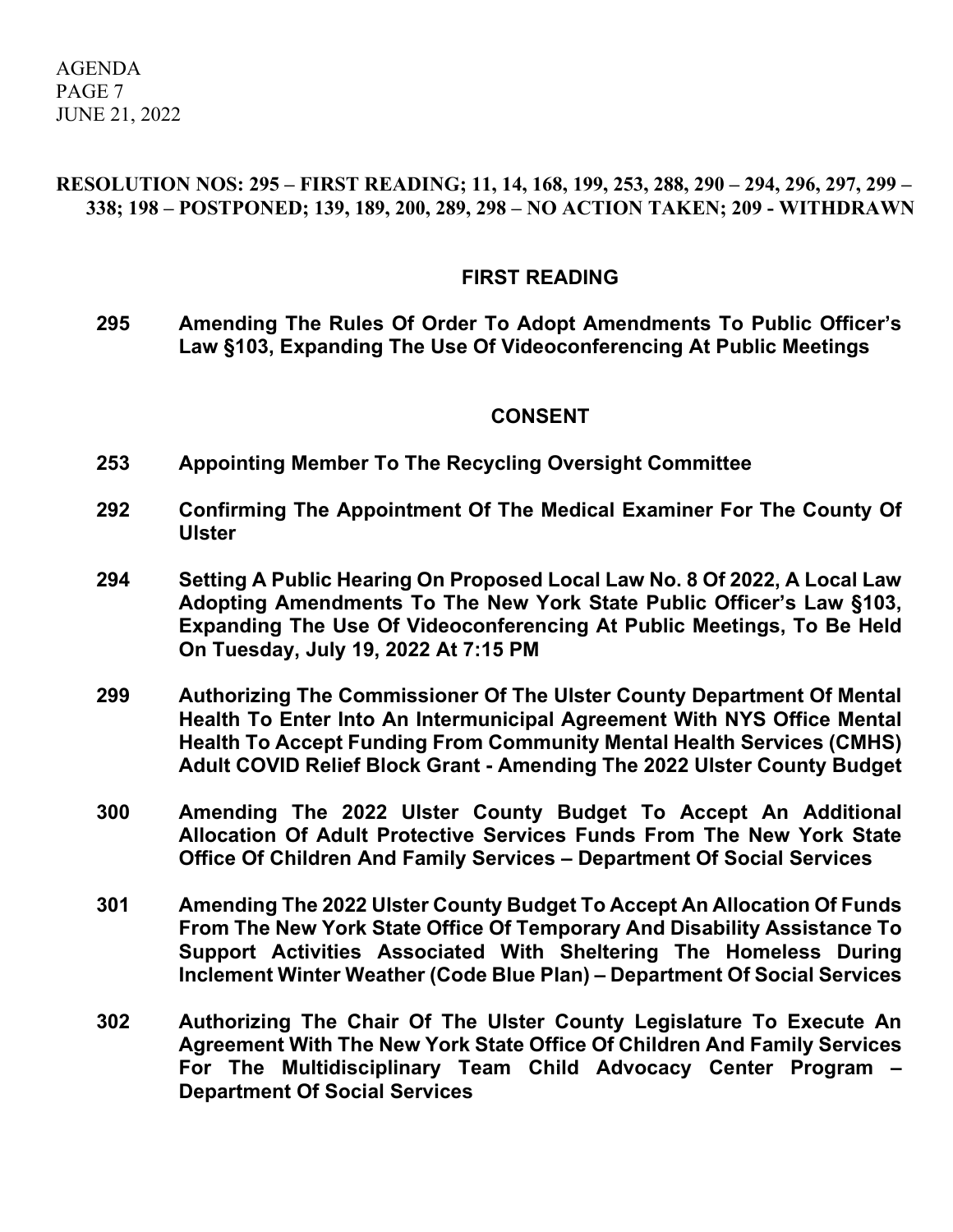AGENDA PAGE 7 JUNE 21, 2022

## **RESOLUTION NOS: 295 – FIRST READING; 11, 14, 168, 199, 253, 288, 290 – 294, 296, 297, 299 – 338; 198 – POSTPONED; 139, 189, 200, 289, 298 – NO ACTION TAKEN; 209 - WITHDRAWN**

#### **FIRST READING**

**295 Amending The Rules Of Order To Adopt Amendments To Public Officer's Law §103, Expanding The Use Of Videoconferencing At Public Meetings**

#### **CONSENT**

- **253 Appointing Member To The Recycling Oversight Committee**
- **292 Confirming The Appointment Of The Medical Examiner For The County Of Ulster**
- **294 Setting A Public Hearing On Proposed Local Law No. 8 Of 2022, A Local Law Adopting Amendments To The New York State Public Officer's Law §103, Expanding The Use Of Videoconferencing At Public Meetings, To Be Held On Tuesday, July 19, 2022 At 7:15 PM**
- **299 Authorizing The Commissioner Of The Ulster County Department Of Mental Health To Enter Into An Intermunicipal Agreement With NYS Office Mental Health To Accept Funding From Community Mental Health Services (CMHS) Adult COVID Relief Block Grant - Amending The 2022 Ulster County Budget**
- **300 Amending The 2022 Ulster County Budget To Accept An Additional Allocation Of Adult Protective Services Funds From The New York State Office Of Children And Family Services – Department Of Social Services**
- **301 Amending The 2022 Ulster County Budget To Accept An Allocation Of Funds From The New York State Office Of Temporary And Disability Assistance To Support Activities Associated With Sheltering The Homeless During Inclement Winter Weather (Code Blue Plan) – Department Of Social Services**
- **302 Authorizing The Chair Of The Ulster County Legislature To Execute An Agreement With The New York State Office Of Children And Family Services For The Multidisciplinary Team Child Advocacy Center Program – Department Of Social Services**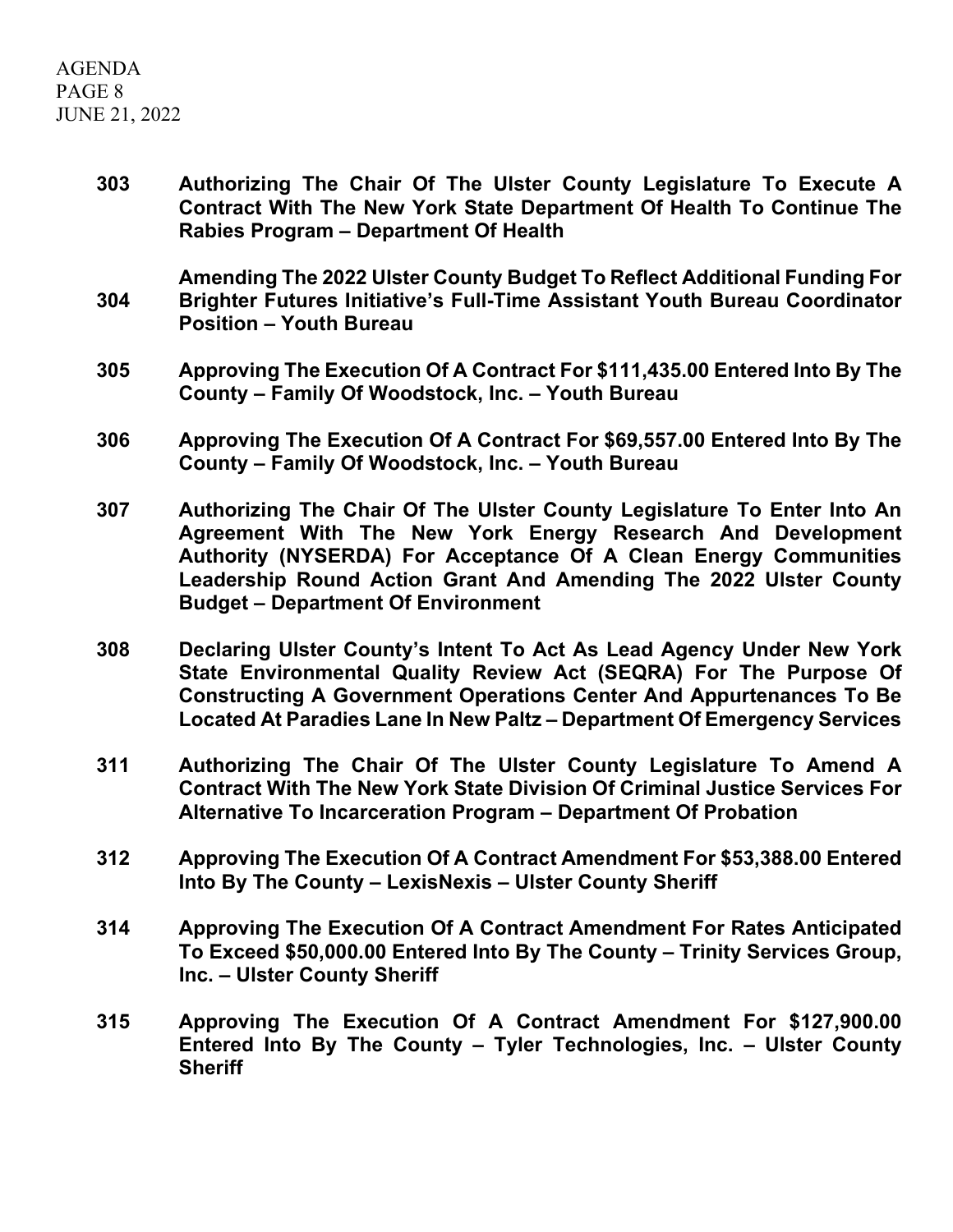AGENDA PAGE 8 JUNE 21, 2022

> **303 Authorizing The Chair Of The Ulster County Legislature To Execute A Contract With The New York State Department Of Health To Continue The Rabies Program – Department Of Health**

> **304 Amending The 2022 Ulster County Budget To Reflect Additional Funding For Brighter Futures Initiative's Full-Time Assistant Youth Bureau Coordinator Position – Youth Bureau**

- **305 Approving The Execution Of A Contract For \$111,435.00 Entered Into By The County – Family Of Woodstock, Inc. – Youth Bureau**
- **306 Approving The Execution Of A Contract For \$69,557.00 Entered Into By The County – Family Of Woodstock, Inc. – Youth Bureau**
- **307 Authorizing The Chair Of The Ulster County Legislature To Enter Into An Agreement With The New York Energy Research And Development Authority (NYSERDA) For Acceptance Of A Clean Energy Communities Leadership Round Action Grant And Amending The 2022 Ulster County Budget – Department Of Environment**
- **308 Declaring Ulster County's Intent To Act As Lead Agency Under New York State Environmental Quality Review Act (SEQRA) For The Purpose Of Constructing A Government Operations Center And Appurtenances To Be Located At Paradies Lane In New Paltz – Department Of Emergency Services**
- **311 Authorizing The Chair Of The Ulster County Legislature To Amend A Contract With The New York State Division Of Criminal Justice Services For Alternative To Incarceration Program – Department Of Probation**
- **312 Approving The Execution Of A Contract Amendment For \$53,388.00 Entered Into By The County – LexisNexis – Ulster County Sheriff**
- **314 Approving The Execution Of A Contract Amendment For Rates Anticipated To Exceed \$50,000.00 Entered Into By The County – Trinity Services Group, Inc. – Ulster County Sheriff**
- **315 Approving The Execution Of A Contract Amendment For \$127,900.00 Entered Into By The County – Tyler Technologies, Inc. – Ulster County Sheriff**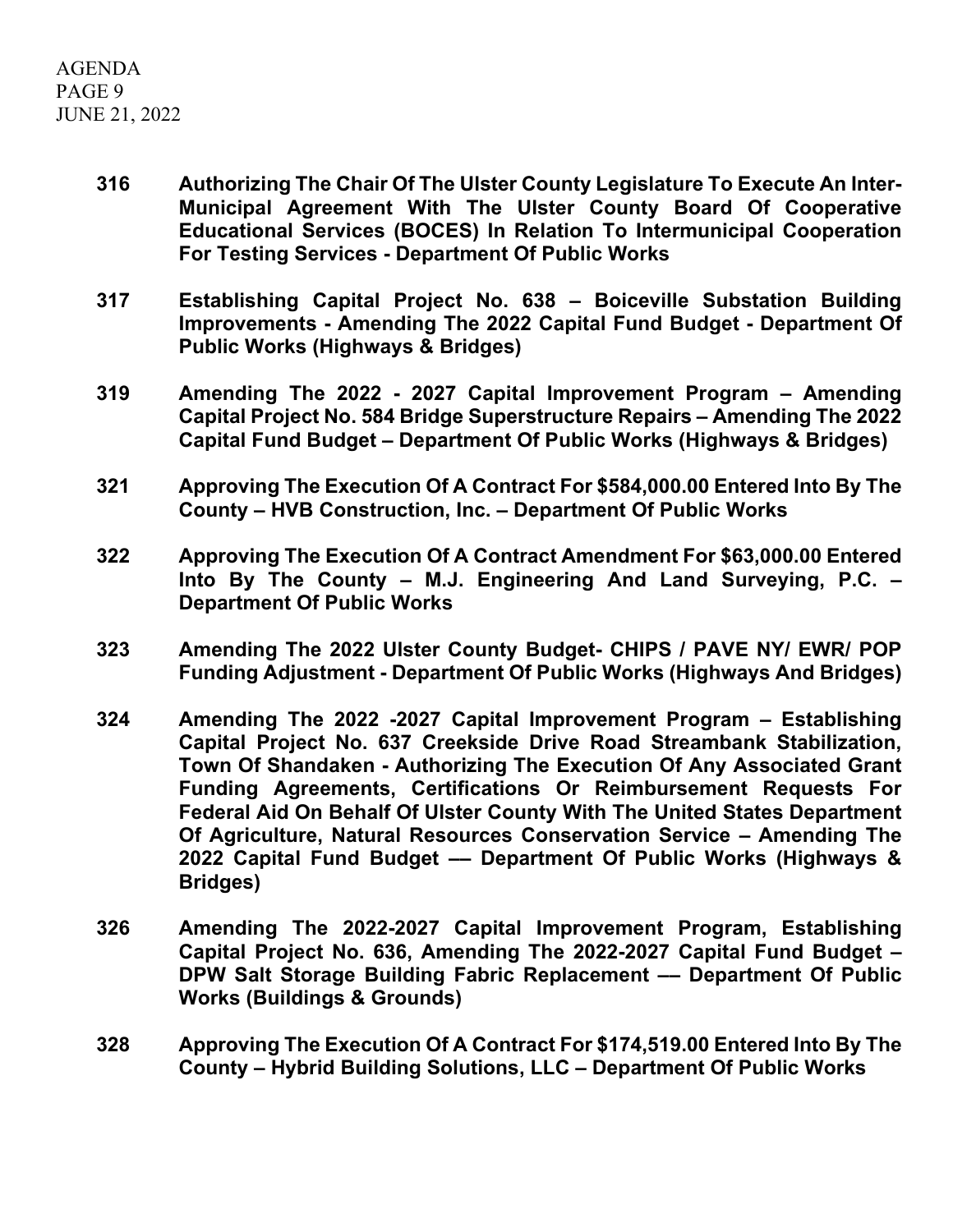- **316 Authorizing The Chair Of The Ulster County Legislature To Execute An Inter-Municipal Agreement With The Ulster County Board Of Cooperative Educational Services (BOCES) In Relation To Intermunicipal Cooperation For Testing Services - Department Of Public Works**
- **317 Establishing Capital Project No. 638 – Boiceville Substation Building Improvements - Amending The 2022 Capital Fund Budget - Department Of Public Works (Highways & Bridges)**
- **319 Amending The 2022 - 2027 Capital Improvement Program – Amending Capital Project No. 584 Bridge Superstructure Repairs – Amending The 2022 Capital Fund Budget – Department Of Public Works (Highways & Bridges)**
- **321 Approving The Execution Of A Contract For \$584,000.00 Entered Into By The County – HVB Construction, Inc. – Department Of Public Works**
- **322 Approving The Execution Of A Contract Amendment For \$63,000.00 Entered Into By The County – M.J. Engineering And Land Surveying, P.C. – Department Of Public Works**
- **323 Amending The 2022 Ulster County Budget- CHIPS / PAVE NY/ EWR/ POP Funding Adjustment - Department Of Public Works (Highways And Bridges)**
- **324 Amending The 2022 -2027 Capital Improvement Program – Establishing Capital Project No. 637 Creekside Drive Road Streambank Stabilization, Town Of Shandaken - Authorizing The Execution Of Any Associated Grant Funding Agreements, Certifications Or Reimbursement Requests For Federal Aid On Behalf Of Ulster County With The United States Department Of Agriculture, Natural Resources Conservation Service – Amending The 2022 Capital Fund Budget –– Department Of Public Works (Highways & Bridges)**
- **326 Amending The 2022-2027 Capital Improvement Program, Establishing Capital Project No. 636, Amending The 2022-2027 Capital Fund Budget – DPW Salt Storage Building Fabric Replacement –– Department Of Public Works (Buildings & Grounds)**
- **328 Approving The Execution Of A Contract For \$174,519.00 Entered Into By The County – Hybrid Building Solutions, LLC – Department Of Public Works**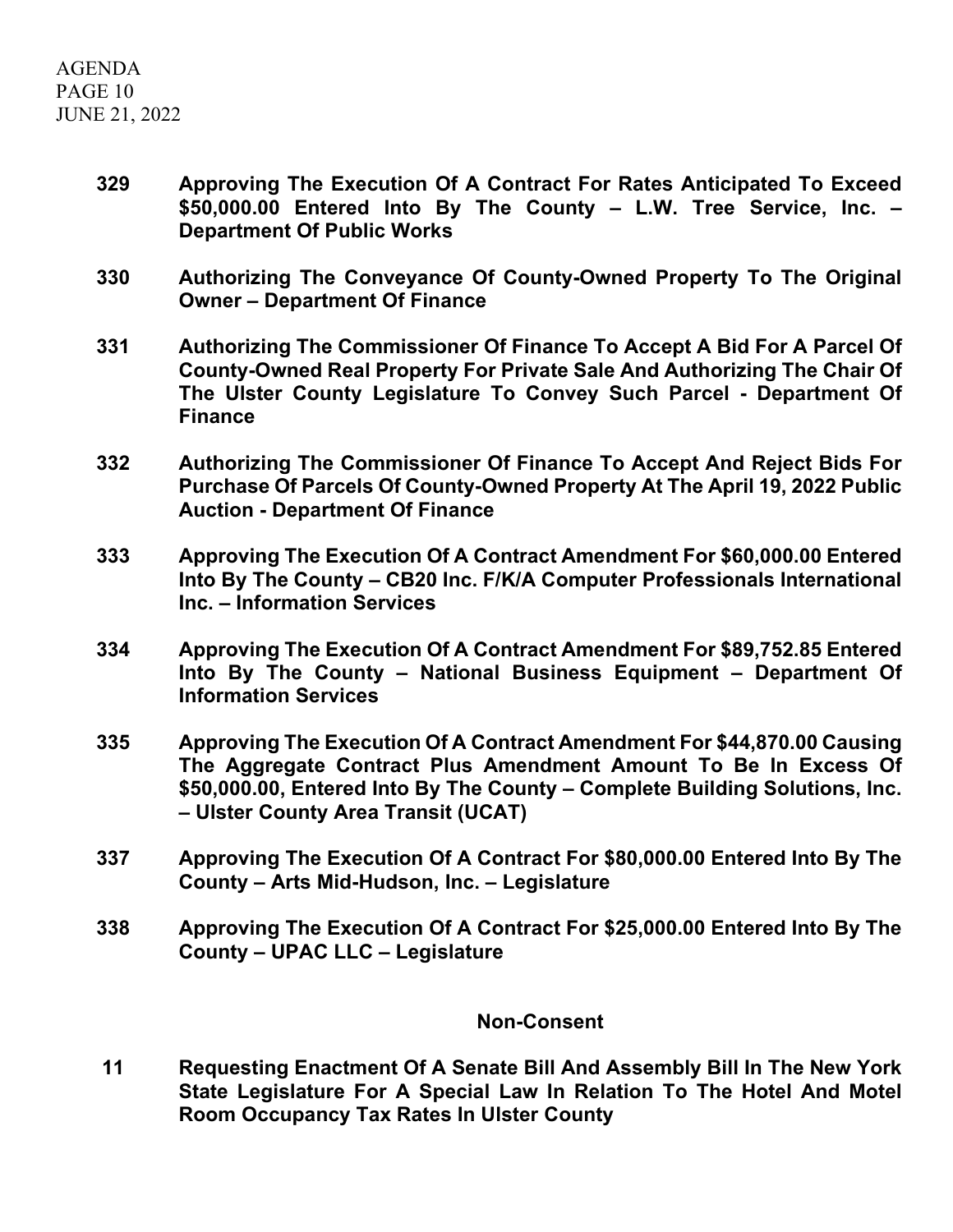- **329 Approving The Execution Of A Contract For Rates Anticipated To Exceed \$50,000.00 Entered Into By The County – L.W. Tree Service, Inc. – Department Of Public Works**
- **330 Authorizing The Conveyance Of County-Owned Property To The Original Owner – Department Of Finance**
- **331 Authorizing The Commissioner Of Finance To Accept A Bid For A Parcel Of County-Owned Real Property For Private Sale And Authorizing The Chair Of The Ulster County Legislature To Convey Such Parcel - Department Of Finance**
- **332 Authorizing The Commissioner Of Finance To Accept And Reject Bids For Purchase Of Parcels Of County-Owned Property At The April 19, 2022 Public Auction - Department Of Finance**
- **333 Approving The Execution Of A Contract Amendment For \$60,000.00 Entered Into By The County – CB20 Inc. F/K/A Computer Professionals International Inc. – Information Services**
- **334 Approving The Execution Of A Contract Amendment For \$89,752.85 Entered Into By The County – National Business Equipment – Department Of Information Services**
- **335 Approving The Execution Of A Contract Amendment For \$44,870.00 Causing The Aggregate Contract Plus Amendment Amount To Be In Excess Of \$50,000.00, Entered Into By The County – Complete Building Solutions, Inc. – Ulster County Area Transit (UCAT)**
- **337 Approving The Execution Of A Contract For \$80,000.00 Entered Into By The County – Arts Mid-Hudson, Inc. – Legislature**
- **338 Approving The Execution Of A Contract For \$25,000.00 Entered Into By The County – UPAC LLC – Legislature**

# **Non-Consent**

**11 Requesting Enactment Of A Senate Bill And Assembly Bill In The New York State Legislature For A Special Law In Relation To The Hotel And Motel Room Occupancy Tax Rates In Ulster County**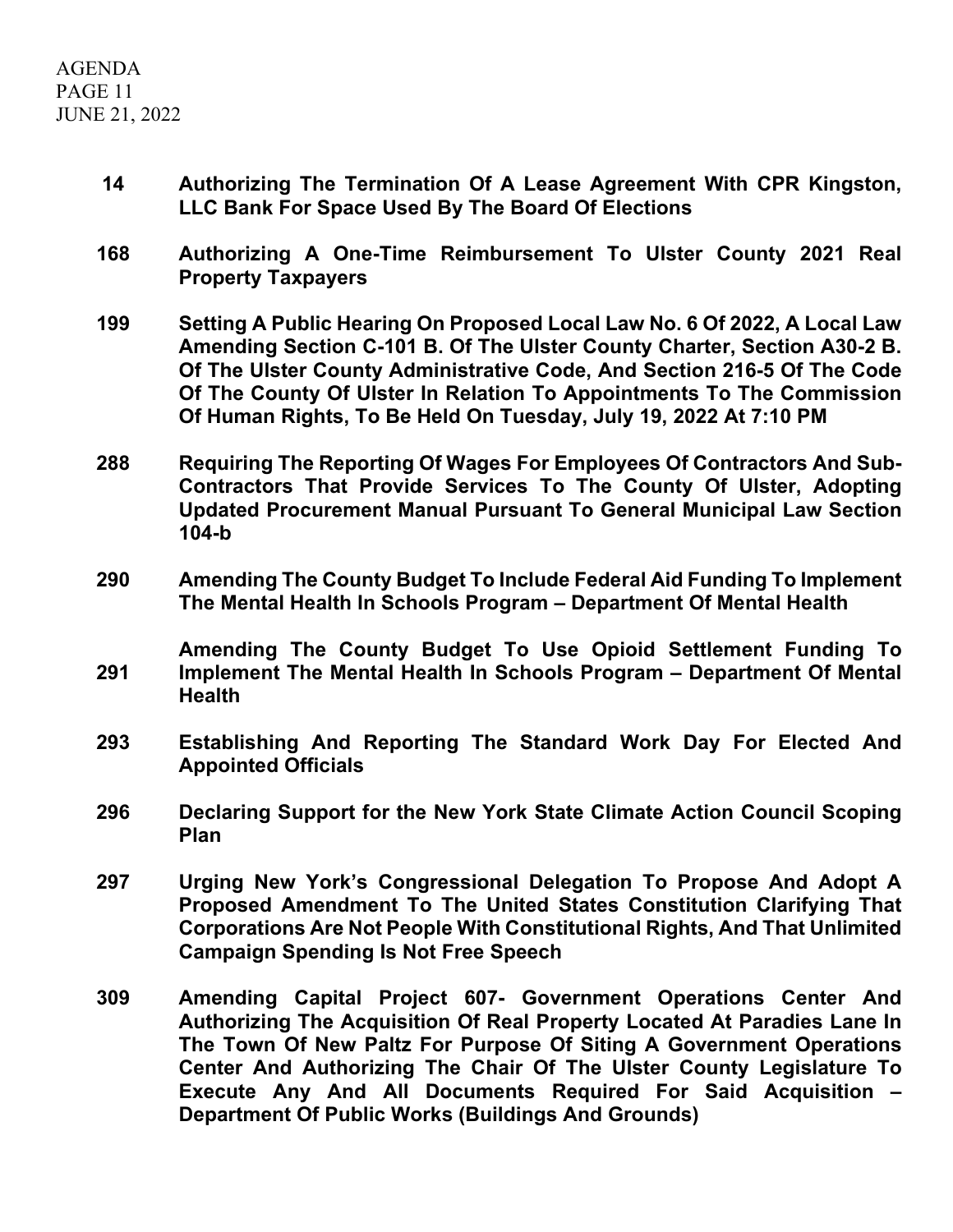- **14 Authorizing The Termination Of A Lease Agreement With CPR Kingston, LLC Bank For Space Used By The Board Of Elections**
- **168 Authorizing A One-Time Reimbursement To Ulster County 2021 Real Property Taxpayers**
- **199 Setting A Public Hearing On Proposed Local Law No. 6 Of 2022, A Local Law Amending Section C-101 B. Of The Ulster County Charter, Section A30-2 B. Of The Ulster County Administrative Code, And Section 216-5 Of The Code Of The County Of Ulster In Relation To Appointments To The Commission Of Human Rights, To Be Held On Tuesday, July 19, 2022 At 7:10 PM**
- **288 Requiring The Reporting Of Wages For Employees Of Contractors And Sub-Contractors That Provide Services To The County Of Ulster, Adopting Updated Procurement Manual Pursuant To General Municipal Law Section 104-b**
- **290 Amending The County Budget To Include Federal Aid Funding To Implement The Mental Health In Schools Program – Department Of Mental Health**
- **291 Amending The County Budget To Use Opioid Settlement Funding To Implement The Mental Health In Schools Program – Department Of Mental Health**
- **293 Establishing And Reporting The Standard Work Day For Elected And Appointed Officials**
- **296 Declaring Support for the New York State Climate Action Council Scoping Plan**
- **297 Urging New York's Congressional Delegation To Propose And Adopt A Proposed Amendment To The United States Constitution Clarifying That Corporations Are Not People With Constitutional Rights, And That Unlimited Campaign Spending Is Not Free Speech**
- **309 Amending Capital Project 607- Government Operations Center And Authorizing The Acquisition Of Real Property Located At Paradies Lane In The Town Of New Paltz For Purpose Of Siting A Government Operations Center And Authorizing The Chair Of The Ulster County Legislature To Execute Any And All Documents Required For Said Acquisition – Department Of Public Works (Buildings And Grounds)**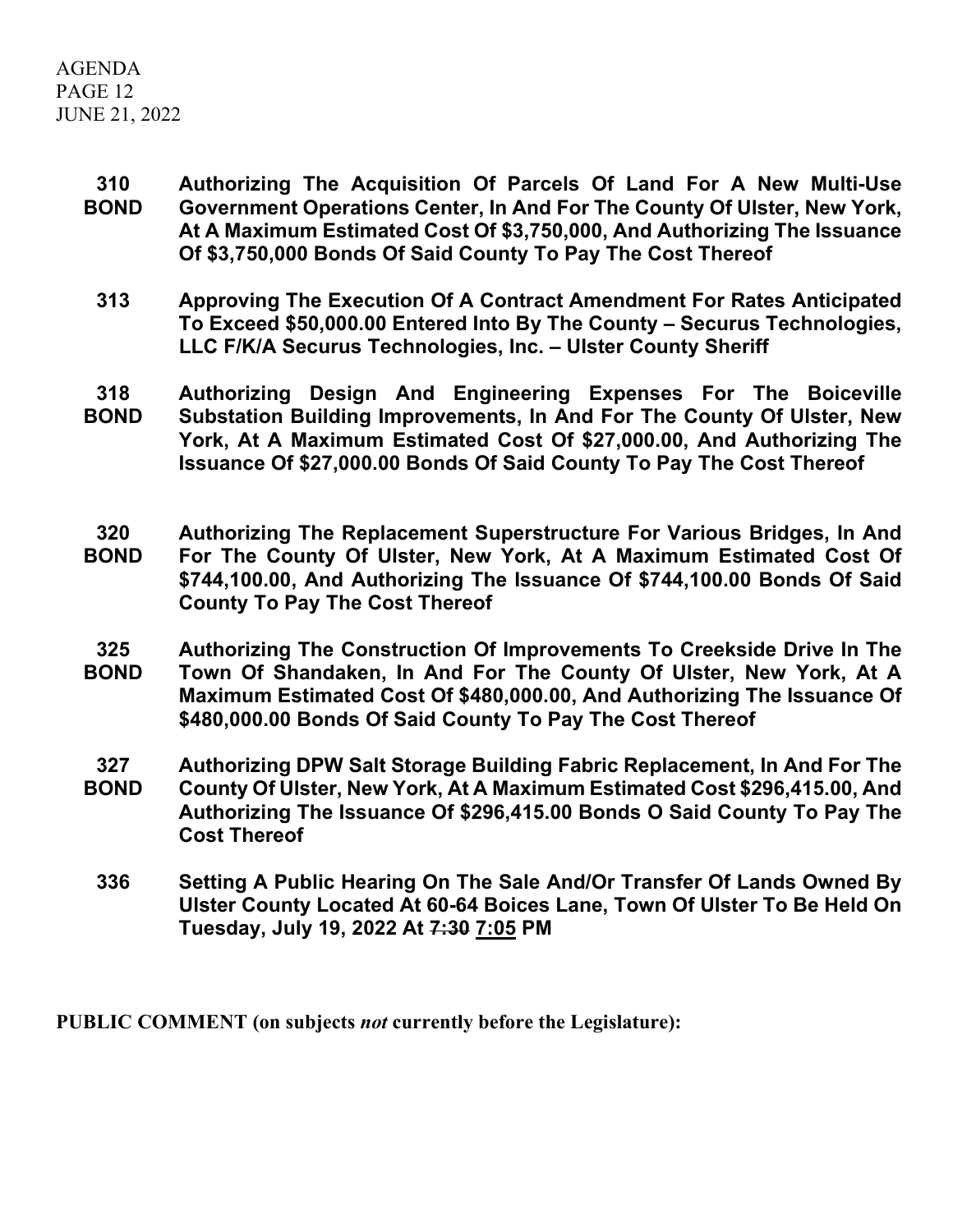## AGENDA PAGE 12 JUNE 21, 2022

- **310 BOND Authorizing The Acquisition Of Parcels Of Land For A New Multi-Use Government Operations Center, In And For The County Of Ulster, New York, At A Maximum Estimated Cost Of \$3,750,000, And Authorizing The Issuance Of \$3,750,000 Bonds Of Said County To Pay The Cost Thereof**
	- **313 Approving The Execution Of A Contract Amendment For Rates Anticipated To Exceed \$50,000.00 Entered Into By The County – Securus Technologies, LLC F/K/A Securus Technologies, Inc. – Ulster County Sheriff**
- **318 BOND Authorizing Design And Engineering Expenses For The Boiceville Substation Building Improvements, In And For The County Of Ulster, New York, At A Maximum Estimated Cost Of \$27,000.00, And Authorizing The Issuance Of \$27,000.00 Bonds Of Said County To Pay The Cost Thereof**
- **320 BOND Authorizing The Replacement Superstructure For Various Bridges, In And For The County Of Ulster, New York, At A Maximum Estimated Cost Of \$744,100.00, And Authorizing The Issuance Of \$744,100.00 Bonds Of Said County To Pay The Cost Thereof**
- **325 BOND Authorizing The Construction Of Improvements To Creekside Drive In The Town Of Shandaken, In And For The County Of Ulster, New York, At A Maximum Estimated Cost Of \$480,000.00, And Authorizing The Issuance Of \$480,000.00 Bonds Of Said County To Pay The Cost Thereof**
- **327 BOND Authorizing DPW Salt Storage Building Fabric Replacement, In And For The County Of Ulster, New York, At A Maximum Estimated Cost \$296,415.00, And Authorizing The Issuance Of \$296,415.00 Bonds O Said County To Pay The Cost Thereof**
	- **336 Setting A Public Hearing On The Sale And/Or Transfer Of Lands Owned By Ulster County Located At 60-64 Boices Lane, Town Of Ulster To Be Held On Tuesday, July 19, 2022 At 7:30 7:05 PM**

**PUBLIC COMMENT (on subjects** *not* **currently before the Legislature):**